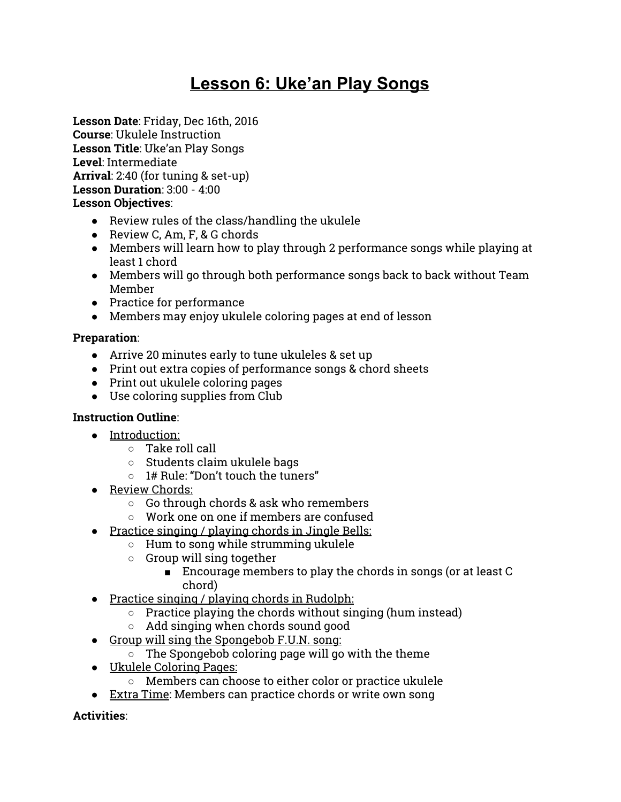# **Lesson 6: Uke'an Play Songs**

**Lesson Date**: Friday, Dec 16th, 2016 **Course**: Ukulele Instruction **Lesson Title**: Uke'an Play Songs **Level**: Intermediate **Arrival**: 2:40 (for tuning & set-up) **Lesson Duration**: 3:00 - 4:00 **Lesson Objectives**:

- Review rules of the class/handling the ukulele
- Review C, Am, F, & G chords
- Members will learn how to play through 2 performance songs while playing at least 1 chord
- Members will go through both performance songs back to back without Team Member
- Practice for performance
- Members may enjoy ukulele coloring pages at end of lesson

## **Preparation**:

- Arrive 20 minutes early to tune ukuleles & set up
- Print out extra copies of performance songs & chord sheets
- Print out ukulele coloring pages
- Use coloring supplies from Club

## **Instruction Outline**:

- Introduction:
	- Take roll call
	- Students claim ukulele bags
	- 1# Rule: "Don't touch the tuners"
- Review Chords:
	- Go through chords & ask who remembers
	- Work one on one if members are confused
- Practice singing / playing chords in Jingle Bells:
	- Hum to song while strumming ukulele
	- Group will sing together
		- Encourage members to play the chords in songs (or at least C chord)
- Practice singing / playing chords in Rudolph:
	- Practice playing the chords without singing (hum instead)
	- Add singing when chords sound good
- Group will sing the Spongebob F.U.N. song:
	- $\circ$  The Spongebob coloring page will go with the theme
- Ukulele Coloring Pages:
	- Members can choose to either color or practice ukulele
- Extra Time: Members can practice chords or write own song

**Activities**: